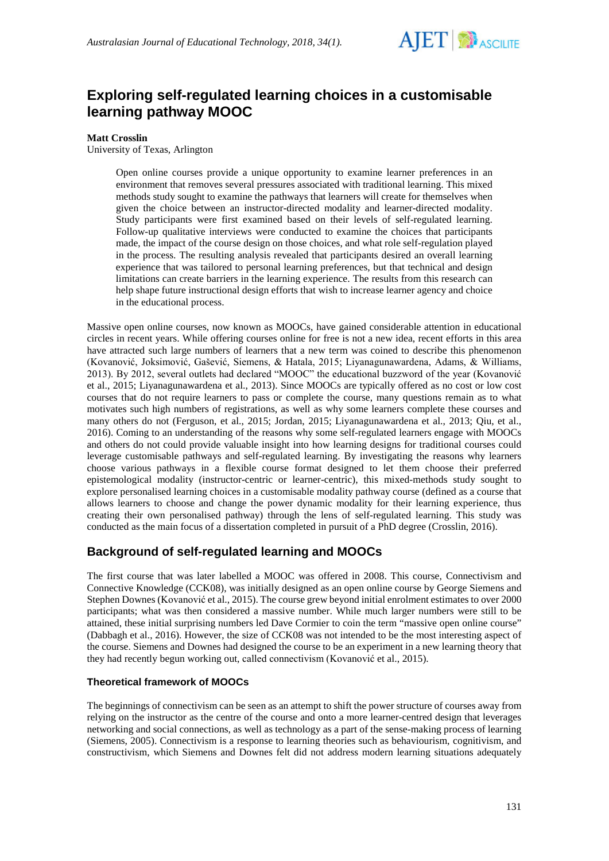

# **Exploring self-regulated learning choices in a customisable learning pathway MOOC**

## **Matt Crosslin**

University of Texas, Arlington

Open online courses provide a unique opportunity to examine learner preferences in an environment that removes several pressures associated with traditional learning. This mixed methods study sought to examine the pathways that learners will create for themselves when given the choice between an instructor-directed modality and learner-directed modality. Study participants were first examined based on their levels of self-regulated learning. Follow-up qualitative interviews were conducted to examine the choices that participants made, the impact of the course design on those choices, and what role self-regulation played in the process. The resulting analysis revealed that participants desired an overall learning experience that was tailored to personal learning preferences, but that technical and design limitations can create barriers in the learning experience. The results from this research can help shape future instructional design efforts that wish to increase learner agency and choice in the educational process.

Massive open online courses, now known as MOOCs, have gained considerable attention in educational circles in recent years. While offering courses online for free is not a new idea, recent efforts in this area have attracted such large numbers of learners that a new term was coined to describe this phenomenon (Kovanović, Joksimović, Gašević, Siemens, & Hatala, 2015; Liyanagunawardena, Adams, & Williams, 2013). By 2012, several outlets had declared "MOOC" the educational buzzword of the year (Kovanović et al., 2015; Liyanagunawardena et al., 2013). Since MOOCs are typically offered as no cost or low cost courses that do not require learners to pass or complete the course, many questions remain as to what motivates such high numbers of registrations, as well as why some learners complete these courses and many others do not (Ferguson, et al., 2015; Jordan, 2015; Liyanagunawardena et al., 2013; Qiu, et al., 2016). Coming to an understanding of the reasons why some self-regulated learners engage with MOOCs and others do not could provide valuable insight into how learning designs for traditional courses could leverage customisable pathways and self-regulated learning. By investigating the reasons why learners choose various pathways in a flexible course format designed to let them choose their preferred epistemological modality (instructor-centric or learner-centric), this mixed-methods study sought to explore personalised learning choices in a customisable modality pathway course (defined as a course that allows learners to choose and change the power dynamic modality for their learning experience, thus creating their own personalised pathway) through the lens of self-regulated learning. This study was conducted as the main focus of a dissertation completed in pursuit of a PhD degree (Crosslin, 2016).

# **Background of self-regulated learning and MOOCs**

The first course that was later labelled a MOOC was offered in 2008. This course, Connectivism and Connective Knowledge (CCK08), was initially designed as an open online course by George Siemens and Stephen Downes (Kovanović et al., 2015). The course grew beyond initial enrolment estimates to over 2000 participants; what was then considered a massive number. While much larger numbers were still to be attained, these initial surprising numbers led Dave Cormier to coin the term "massive open online course" (Dabbagh et al., 2016). However, the size of CCK08 was not intended to be the most interesting aspect of the course. Siemens and Downes had designed the course to be an experiment in a new learning theory that they had recently begun working out, called connectivism (Kovanović et al., 2015).

## **Theoretical framework of MOOCs**

The beginnings of connectivism can be seen as an attempt to shift the power structure of courses away from relying on the instructor as the centre of the course and onto a more learner-centred design that leverages networking and social connections, as well as technology as a part of the sense-making process of learning (Siemens, 2005). Connectivism is a response to learning theories such as behaviourism, cognitivism, and constructivism, which Siemens and Downes felt did not address modern learning situations adequately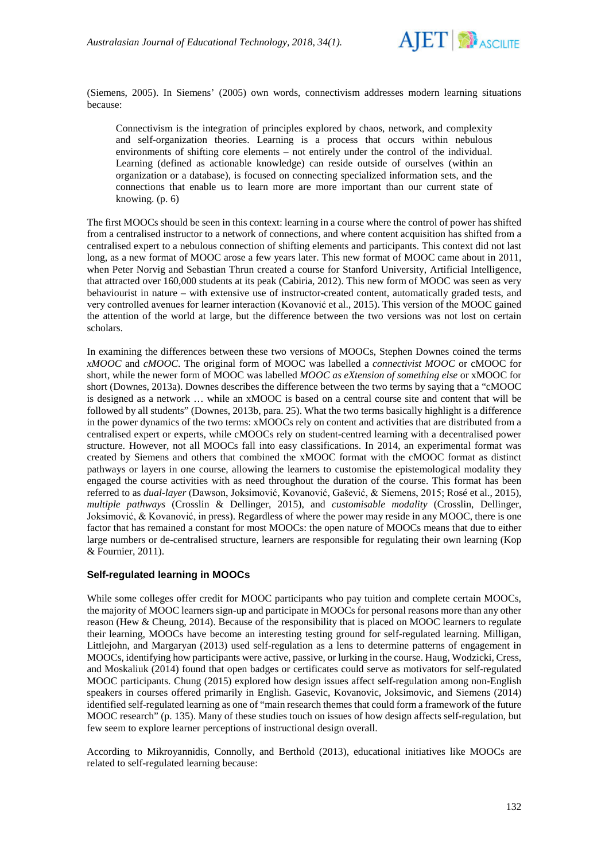

(Siemens, 2005). In Siemens' (2005) own words, connectivism addresses modern learning situations because:

Connectivism is the integration of principles explored by chaos, network, and complexity and self-organization theories. Learning is a process that occurs within nebulous environments of shifting core elements – not entirely under the control of the individual. Learning (defined as actionable knowledge) can reside outside of ourselves (within an organization or a database), is focused on connecting specialized information sets, and the connections that enable us to learn more are more important than our current state of knowing. (p. 6)

The first MOOCs should be seen in this context: learning in a course where the control of power has shifted from a centralised instructor to a network of connections, and where content acquisition has shifted from a centralised expert to a nebulous connection of shifting elements and participants. This context did not last long, as a new format of MOOC arose a few years later. This new format of MOOC came about in 2011, when Peter Norvig and Sebastian Thrun created a course for Stanford University, Artificial Intelligence, that attracted over 160,000 students at its peak (Cabiria, 2012). This new form of MOOC was seen as very behaviourist in nature – with extensive use of instructor-created content, automatically graded tests, and very controlled avenues for learner interaction (Kovanović et al., 2015). This version of the MOOC gained the attention of the world at large, but the difference between the two versions was not lost on certain scholars.

In examining the differences between these two versions of MOOCs, Stephen Downes coined the terms *xMOOC* and *cMOOC*. The original form of MOOC was labelled a *connectivist MOOC* or cMOOC for short, while the newer form of MOOC was labelled *MOOC as eXtension of something else* or xMOOC for short (Downes, 2013a). Downes describes the difference between the two terms by saying that a "cMOOC is designed as a network … while an xMOOC is based on a central course site and content that will be followed by all students" (Downes, 2013b, para. 25). What the two terms basically highlight is a difference in the power dynamics of the two terms: xMOOCs rely on content and activities that are distributed from a centralised expert or experts, while cMOOCs rely on student-centred learning with a decentralised power structure. However, not all MOOCs fall into easy classifications. In 2014, an experimental format was created by Siemens and others that combined the xMOOC format with the cMOOC format as distinct pathways or layers in one course, allowing the learners to customise the epistemological modality they engaged the course activities with as need throughout the duration of the course. This format has been referred to as *dual-layer* (Dawson, Joksimović, Kovanović, Gašević, & Siemens, 2015; Rosé et al., 2015), *multiple pathways* (Crosslin & Dellinger, 2015), and *customisable modality* (Crosslin, Dellinger, Joksimović, & Kovanović, in press). Regardless of where the power may reside in any MOOC, there is one factor that has remained a constant for most MOOCs: the open nature of MOOCs means that due to either large numbers or de-centralised structure, learners are responsible for regulating their own learning (Kop & Fournier, 2011).

### **Self-regulated learning in MOOCs**

While some colleges offer credit for MOOC participants who pay tuition and complete certain MOOCs, the majority of MOOC learners sign-up and participate in MOOCs for personal reasons more than any other reason (Hew & Cheung, 2014). Because of the responsibility that is placed on MOOC learners to regulate their learning, MOOCs have become an interesting testing ground for self-regulated learning. Milligan, Littlejohn, and Margaryan (2013) used self-regulation as a lens to determine patterns of engagement in MOOCs, identifying how participants were active, passive, or lurking in the course. Haug, Wodzicki, Cress, and Moskaliuk (2014) found that open badges or certificates could serve as motivators for self-regulated MOOC participants. Chung (2015) explored how design issues affect self-regulation among non-English speakers in courses offered primarily in English. Gasevic, Kovanovic, Joksimovic, and Siemens (2014) identified self-regulated learning as one of "main research themes that could form a framework of the future MOOC research" (p. 135). Many of these studies touch on issues of how design affects self-regulation, but few seem to explore learner perceptions of instructional design overall.

According to Mikroyannidis, Connolly, and Berthold (2013), educational initiatives like MOOCs are related to self-regulated learning because: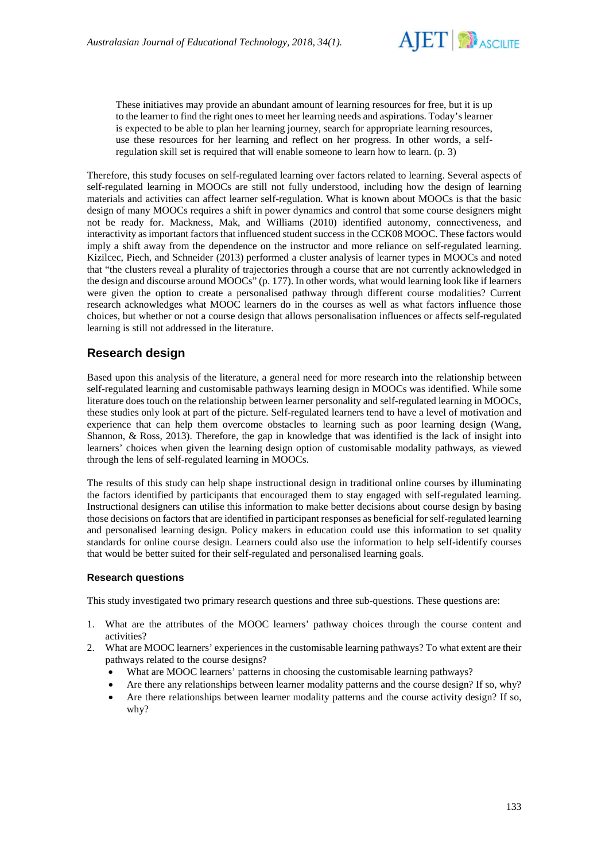

These initiatives may provide an abundant amount of learning resources for free, but it is up to the learner to find the right ones to meet her learning needs and aspirations. Today's learner is expected to be able to plan her learning journey, search for appropriate learning resources, use these resources for her learning and reflect on her progress. In other words, a selfregulation skill set is required that will enable someone to learn how to learn. (p. 3)

Therefore, this study focuses on self-regulated learning over factors related to learning. Several aspects of self-regulated learning in MOOCs are still not fully understood, including how the design of learning materials and activities can affect learner self-regulation. What is known about MOOCs is that the basic design of many MOOCs requires a shift in power dynamics and control that some course designers might not be ready for. Mackness, Mak, and Williams (2010) identified autonomy, connectiveness, and interactivity as important factors that influenced student success in the CCK08 MOOC. These factors would imply a shift away from the dependence on the instructor and more reliance on self-regulated learning. Kizilcec, Piech, and Schneider (2013) performed a cluster analysis of learner types in MOOCs and noted that "the clusters reveal a plurality of trajectories through a course that are not currently acknowledged in the design and discourse around MOOCs" (p. 177). In other words, what would learning look like if learners were given the option to create a personalised pathway through different course modalities? Current research acknowledges what MOOC learners do in the courses as well as what factors influence those choices, but whether or not a course design that allows personalisation influences or affects self-regulated learning is still not addressed in the literature.

# **Research design**

Based upon this analysis of the literature, a general need for more research into the relationship between self-regulated learning and customisable pathways learning design in MOOCs was identified. While some literature does touch on the relationship between learner personality and self-regulated learning in MOOCs, these studies only look at part of the picture. Self-regulated learners tend to have a level of motivation and experience that can help them overcome obstacles to learning such as poor learning design (Wang, Shannon, & Ross, 2013). Therefore, the gap in knowledge that was identified is the lack of insight into learners' choices when given the learning design option of customisable modality pathways, as viewed through the lens of self-regulated learning in MOOCs.

The results of this study can help shape instructional design in traditional online courses by illuminating the factors identified by participants that encouraged them to stay engaged with self-regulated learning. Instructional designers can utilise this information to make better decisions about course design by basing those decisions on factors that are identified in participant responses as beneficial for self-regulated learning and personalised learning design. Policy makers in education could use this information to set quality standards for online course design. Learners could also use the information to help self-identify courses that would be better suited for their self-regulated and personalised learning goals.

## **Research questions**

This study investigated two primary research questions and three sub-questions. These questions are:

- 1. What are the attributes of the MOOC learners' pathway choices through the course content and activities?
- 2. What are MOOC learners' experiences in the customisable learning pathways? To what extent are their pathways related to the course designs?
	- What are MOOC learners' patterns in choosing the customisable learning pathways?
	- Are there any relationships between learner modality patterns and the course design? If so, why?
	- Are there relationships between learner modality patterns and the course activity design? If so, why?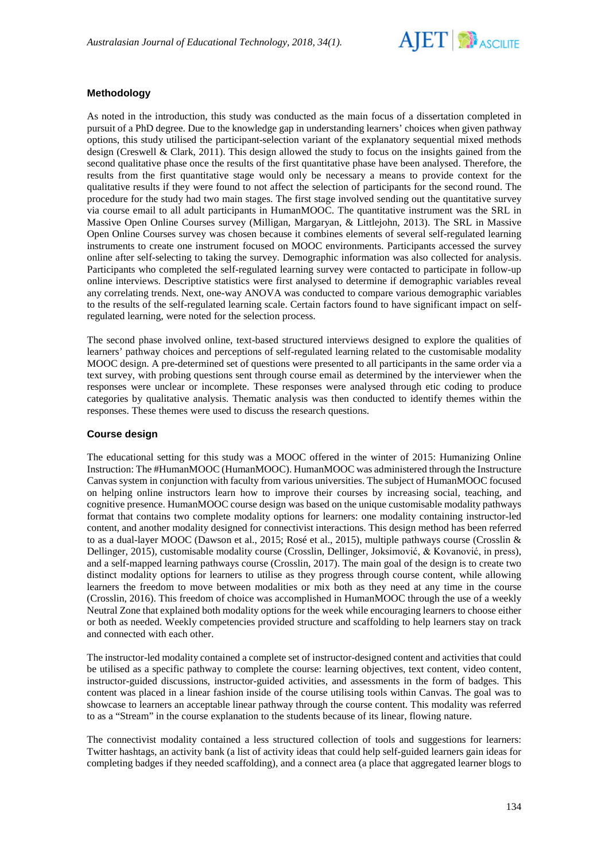

## **Methodology**

As noted in the introduction, this study was conducted as the main focus of a dissertation completed in pursuit of a PhD degree. Due to the knowledge gap in understanding learners' choices when given pathway options, this study utilised the participant-selection variant of the explanatory sequential mixed methods design (Creswell & Clark, 2011). This design allowed the study to focus on the insights gained from the second qualitative phase once the results of the first quantitative phase have been analysed. Therefore, the results from the first quantitative stage would only be necessary a means to provide context for the qualitative results if they were found to not affect the selection of participants for the second round. The procedure for the study had two main stages. The first stage involved sending out the quantitative survey via course email to all adult participants in HumanMOOC. The quantitative instrument was the SRL in Massive Open Online Courses survey (Milligan, Margaryan, & Littlejohn, 2013). The SRL in Massive Open Online Courses survey was chosen because it combines elements of several self-regulated learning instruments to create one instrument focused on MOOC environments. Participants accessed the survey online after self-selecting to taking the survey. Demographic information was also collected for analysis. Participants who completed the self-regulated learning survey were contacted to participate in follow-up online interviews. Descriptive statistics were first analysed to determine if demographic variables reveal any correlating trends. Next, one-way ANOVA was conducted to compare various demographic variables to the results of the self-regulated learning scale. Certain factors found to have significant impact on selfregulated learning, were noted for the selection process.

The second phase involved online, text-based structured interviews designed to explore the qualities of learners' pathway choices and perceptions of self-regulated learning related to the customisable modality MOOC design. A pre-determined set of questions were presented to all participants in the same order via a text survey, with probing questions sent through course email as determined by the interviewer when the responses were unclear or incomplete. These responses were analysed through etic coding to produce categories by qualitative analysis. Thematic analysis was then conducted to identify themes within the responses. These themes were used to discuss the research questions.

## **Course design**

The educational setting for this study was a MOOC offered in the winter of 2015: Humanizing Online Instruction: The #HumanMOOC (HumanMOOC). HumanMOOC was administered through the Instructure Canvas system in conjunction with faculty from various universities. The subject of HumanMOOC focused on helping online instructors learn how to improve their courses by increasing social, teaching, and cognitive presence. HumanMOOC course design was based on the unique customisable modality pathways format that contains two complete modality options for learners: one modality containing instructor-led content, and another modality designed for connectivist interactions. This design method has been referred to as a dual-layer MOOC (Dawson et al., 2015; Rosé et al., 2015), multiple pathways course (Crosslin & Dellinger, 2015), customisable modality course (Crosslin, Dellinger, Joksimović, & Kovanović, in press), and a self-mapped learning pathways course (Crosslin, 2017). The main goal of the design is to create two distinct modality options for learners to utilise as they progress through course content, while allowing learners the freedom to move between modalities or mix both as they need at any time in the course (Crosslin, 2016). This freedom of choice was accomplished in HumanMOOC through the use of a weekly Neutral Zone that explained both modality options for the week while encouraging learners to choose either or both as needed. Weekly competencies provided structure and scaffolding to help learners stay on track and connected with each other.

The instructor-led modality contained a complete set of instructor-designed content and activities that could be utilised as a specific pathway to complete the course: learning objectives, text content, video content, instructor-guided discussions, instructor-guided activities, and assessments in the form of badges. This content was placed in a linear fashion inside of the course utilising tools within Canvas. The goal was to showcase to learners an acceptable linear pathway through the course content. This modality was referred to as a "Stream" in the course explanation to the students because of its linear, flowing nature.

The connectivist modality contained a less structured collection of tools and suggestions for learners: Twitter hashtags, an activity bank (a list of activity ideas that could help self-guided learners gain ideas for completing badges if they needed scaffolding), and a connect area (a place that aggregated learner blogs to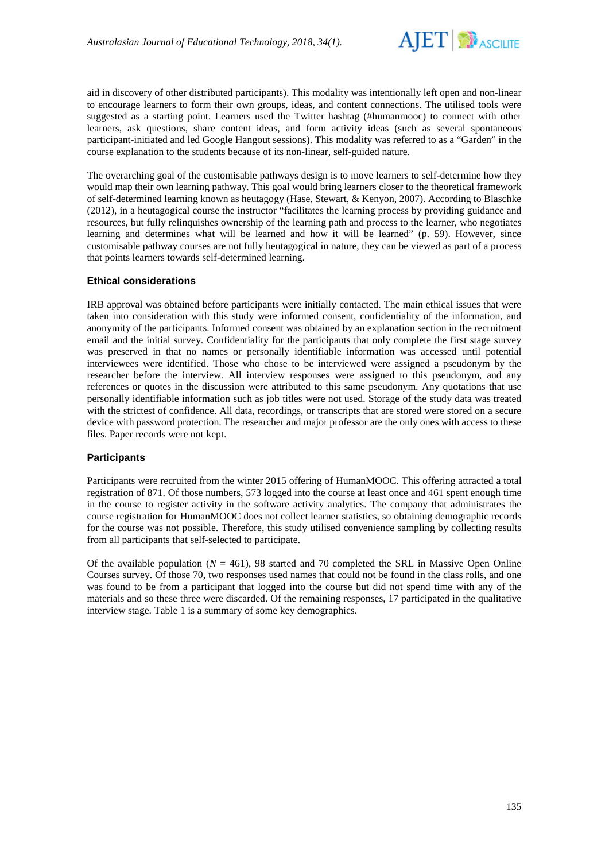

aid in discovery of other distributed participants). This modality was intentionally left open and non-linear to encourage learners to form their own groups, ideas, and content connections. The utilised tools were suggested as a starting point. Learners used the Twitter hashtag (#humanmooc) to connect with other learners, ask questions, share content ideas, and form activity ideas (such as several spontaneous participant-initiated and led Google Hangout sessions). This modality was referred to as a "Garden" in the course explanation to the students because of its non-linear, self-guided nature.

The overarching goal of the customisable pathways design is to move learners to self-determine how they would map their own learning pathway. This goal would bring learners closer to the theoretical framework of self-determined learning known as heutagogy (Hase, Stewart, & Kenyon, 2007). According to Blaschke (2012), in a heutagogical course the instructor "facilitates the learning process by providing guidance and resources, but fully relinquishes ownership of the learning path and process to the learner, who negotiates learning and determines what will be learned and how it will be learned" (p. 59). However, since customisable pathway courses are not fully heutagogical in nature, they can be viewed as part of a process that points learners towards self-determined learning.

### **Ethical considerations**

IRB approval was obtained before participants were initially contacted. The main ethical issues that were taken into consideration with this study were informed consent, confidentiality of the information, and anonymity of the participants. Informed consent was obtained by an explanation section in the recruitment email and the initial survey. Confidentiality for the participants that only complete the first stage survey was preserved in that no names or personally identifiable information was accessed until potential interviewees were identified. Those who chose to be interviewed were assigned a pseudonym by the researcher before the interview. All interview responses were assigned to this pseudonym, and any references or quotes in the discussion were attributed to this same pseudonym. Any quotations that use personally identifiable information such as job titles were not used. Storage of the study data was treated with the strictest of confidence. All data, recordings, or transcripts that are stored were stored on a secure device with password protection. The researcher and major professor are the only ones with access to these files. Paper records were not kept.

### **Participants**

Participants were recruited from the winter 2015 offering of HumanMOOC. This offering attracted a total registration of 871. Of those numbers, 573 logged into the course at least once and 461 spent enough time in the course to register activity in the software activity analytics. The company that administrates the course registration for HumanMOOC does not collect learner statistics, so obtaining demographic records for the course was not possible. Therefore, this study utilised convenience sampling by collecting results from all participants that self-selected to participate.

Of the available population  $(N = 461)$ , 98 started and 70 completed the SRL in Massive Open Online Courses survey. Of those 70, two responses used names that could not be found in the class rolls, and one was found to be from a participant that logged into the course but did not spend time with any of the materials and so these three were discarded. Of the remaining responses, 17 participated in the qualitative interview stage. Table 1 is a summary of some key demographics.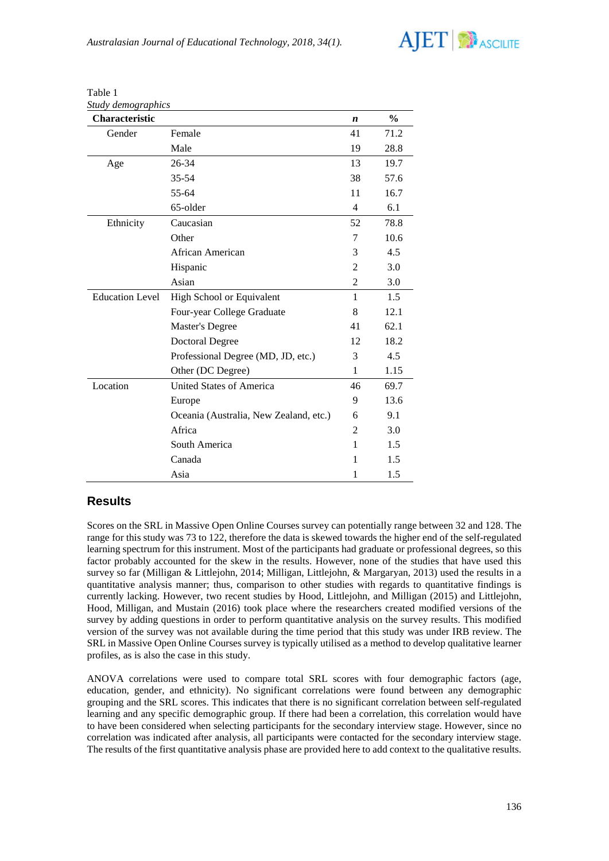

| Study demographics     |                                        |                |               |
|------------------------|----------------------------------------|----------------|---------------|
| Characteristic         |                                        | n              | $\frac{0}{0}$ |
| Gender                 | Female                                 | 41             | 71.2          |
|                        | Male                                   | 19             | 28.8          |
| Age                    | 26-34                                  | 13             | 19.7          |
|                        | $35 - 54$                              | 38             | 57.6          |
|                        | 55-64                                  | 11             | 16.7          |
|                        | 65-older                               | $\overline{4}$ | 6.1           |
| Ethnicity              | Caucasian                              | 52             | 78.8          |
|                        | Other                                  | 7              | 10.6          |
|                        | African American                       | 3              | 4.5           |
|                        | Hispanic                               | 2              | 3.0           |
|                        | Asian                                  | $\overline{2}$ | 3.0           |
| <b>Education Level</b> | High School or Equivalent              | $\mathbf{1}$   | 1.5           |
|                        | Four-year College Graduate             | 8              | 12.1          |
|                        | <b>Master's Degree</b>                 | 41             | 62.1          |
|                        | <b>Doctoral Degree</b>                 | 12             | 18.2          |
|                        | Professional Degree (MD, JD, etc.)     | 3              | 4.5           |
|                        | Other (DC Degree)                      | 1              | 1.15          |
| Location               | United States of America               | 46             | 69.7          |
|                        | Europe                                 | 9              | 13.6          |
|                        | Oceania (Australia, New Zealand, etc.) | 6              | 9.1           |
|                        | Africa                                 | 2              | 3.0           |
|                        | South America                          | 1              | 1.5           |
|                        | Canada                                 | 1              | 1.5           |
|                        | Asia                                   | 1              | 1.5           |

Table 1

# **Results**

Scores on the SRL in Massive Open Online Courses survey can potentially range between 32 and 128. The range for this study was 73 to 122, therefore the data is skewed towards the higher end of the self-regulated learning spectrum for this instrument. Most of the participants had graduate or professional degrees, so this factor probably accounted for the skew in the results. However, none of the studies that have used this survey so far (Milligan & Littlejohn, 2014; Milligan, Littlejohn, & Margaryan, 2013) used the results in a quantitative analysis manner; thus, comparison to other studies with regards to quantitative findings is currently lacking. However, two recent studies by Hood, Littlejohn, and Milligan (2015) and Littlejohn, Hood, Milligan, and Mustain (2016) took place where the researchers created modified versions of the survey by adding questions in order to perform quantitative analysis on the survey results. This modified version of the survey was not available during the time period that this study was under IRB review. The SRL in Massive Open Online Courses survey is typically utilised as a method to develop qualitative learner profiles, as is also the case in this study.

ANOVA correlations were used to compare total SRL scores with four demographic factors (age, education, gender, and ethnicity). No significant correlations were found between any demographic grouping and the SRL scores. This indicates that there is no significant correlation between self-regulated learning and any specific demographic group. If there had been a correlation, this correlation would have to have been considered when selecting participants for the secondary interview stage. However, since no correlation was indicated after analysis, all participants were contacted for the secondary interview stage. The results of the first quantitative analysis phase are provided here to add context to the qualitative results.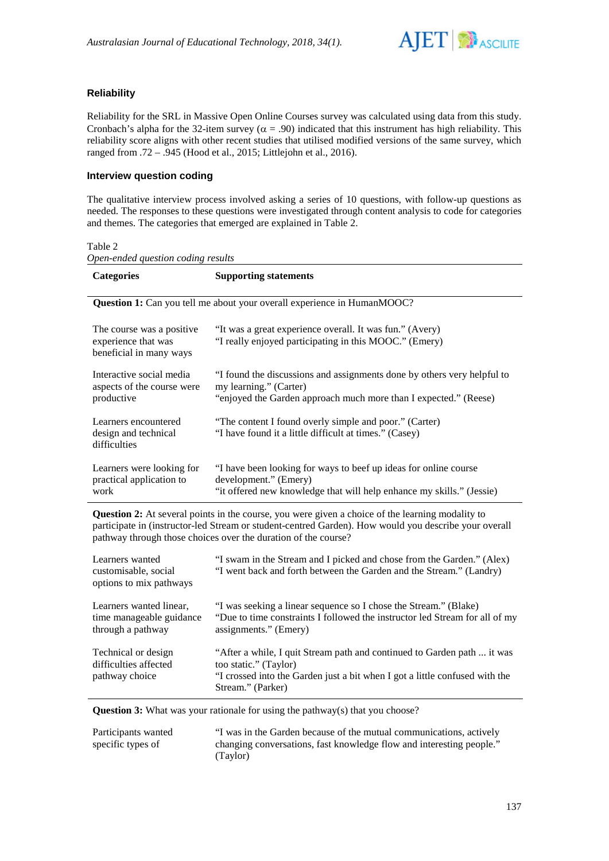

## **Reliability**

Reliability for the SRL in Massive Open Online Courses survey was calculated using data from this study. Cronbach's alpha for the 32-item survey ( $\alpha$  = .90) indicated that this instrument has high reliability. This reliability score aligns with other recent studies that utilised modified versions of the same survey, which ranged from .72 – .945 (Hood et al., 2015; Littlejohn et al., 2016).

## **Interview question coding**

The qualitative interview process involved asking a series of 10 questions, with follow-up questions as needed. The responses to these questions were investigated through content analysis to code for categories and themes. The categories that emerged are explained in Table 2.

#### Table 2

*Open-ended question coding results*

| <b>Categories</b>                                                                                                                                                                                                                                                                  | <b>Supporting statements</b>                                                                                                                                          |
|------------------------------------------------------------------------------------------------------------------------------------------------------------------------------------------------------------------------------------------------------------------------------------|-----------------------------------------------------------------------------------------------------------------------------------------------------------------------|
|                                                                                                                                                                                                                                                                                    | <b>Question 1:</b> Can you tell me about your overall experience in HumanMOOC?                                                                                        |
| The course was a positive.<br>experience that was<br>beneficial in many ways                                                                                                                                                                                                       | "It was a great experience overall. It was fun." (Avery)<br>"I really enjoyed participating in this MOOC." (Emery)                                                    |
| Interactive social media<br>aspects of the course were<br>productive                                                                                                                                                                                                               | "I found the discussions and assignments done by others very helpful to<br>my learning." (Carter)<br>"enjoyed the Garden approach much more than I expected." (Reese) |
| Learners encountered<br>design and technical<br>difficulties                                                                                                                                                                                                                       | "The content I found overly simple and poor." (Carter)<br>"I have found it a little difficult at times." (Casey)                                                      |
| Learners were looking for<br>practical application to<br>work                                                                                                                                                                                                                      | "I have been looking for ways to beef up ideas for online course<br>development." (Emery)<br>"it offered new knowledge that will help enhance my skills." (Jessie)    |
| <b>Question 2:</b> At several points in the course, you were given a choice of the learning modality to<br>participate in (instructor-led Stream or student-centred Garden). How would you describe your overall<br>pathway through those choices over the duration of the course? |                                                                                                                                                                       |

| Learners wanted<br>customisable, social<br>options to mix pathways       | "I swam in the Stream and I picked and chose from the Garden." (Alex)<br>"I went back and forth between the Garden and the Stream." (Landry)                                                         |
|--------------------------------------------------------------------------|------------------------------------------------------------------------------------------------------------------------------------------------------------------------------------------------------|
| Learners wanted linear,<br>time manageable guidance<br>through a pathway | "I was seeking a linear sequence so I chose the Stream." (Blake)<br>"Due to time constraints I followed the instructor led Stream for all of my<br>assignments." (Emery)                             |
| Technical or design<br>difficulties affected<br>pathway choice           | "After a while, I quit Stream path and continued to Garden path  it was<br>too static." (Taylor)<br>"I crossed into the Garden just a bit when I got a little confused with the<br>Stream." (Parker) |

**Question 3:** What was your rationale for using the pathway(s) that you choose?

| Participants wanted | "I was in the Garden because of the mutual communications, actively  |
|---------------------|----------------------------------------------------------------------|
| specific types of   | changing conversations, fast knowledge flow and interesting people." |
|                     | (Taylor)                                                             |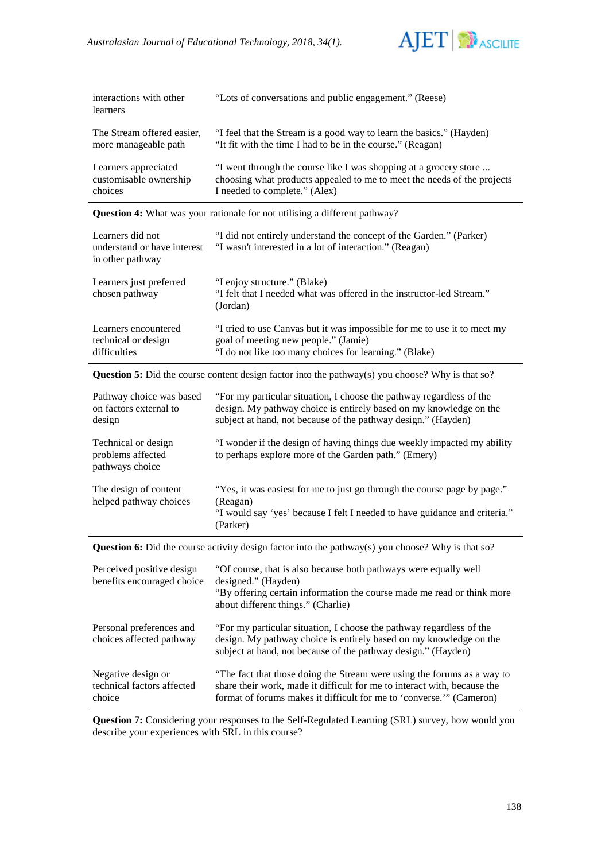

| interactions with other<br>learners | "Lots of conversations and public engagement." (Reese)                  |
|-------------------------------------|-------------------------------------------------------------------------|
| The Stream offered easier,          | "I feel that the Stream is a good way to learn the basics." (Hayden)    |
| more manageable path                | "It fit with the time I had to be in the course." (Reagan)              |
| Learners appreciated                | "I went through the course like I was shopping at a grocery store       |
| customisable ownership              | choosing what products appealed to me to meet the needs of the projects |
| choices                             | I needed to complete." (Alex)                                           |

**Question 4:** What was your rationale for not utilising a different pathway?

| Learners did not<br>understand or have interest<br>in other pathway | "I did not entirely understand the concept of the Garden." (Parker)<br>"I wasn't interested in a lot of interaction." (Reagan)                                             |
|---------------------------------------------------------------------|----------------------------------------------------------------------------------------------------------------------------------------------------------------------------|
| Learners just preferred<br>chosen pathway                           | "I enjoy structure." (Blake)<br>"I felt that I needed what was offered in the instructor-led Stream."<br>(Jordan)                                                          |
| Learners encountered<br>technical or design<br>difficulties         | "I tried to use Canvas but it was impossible for me to use it to meet my<br>goal of meeting new people." (Jamie)<br>"I do not like too many choices for learning." (Blake) |

**Question 5:** Did the course content design factor into the pathway(s) you choose? Why is that so?

| Pathway choice was based<br>on factors external to<br>design | "For my particular situation, I choose the pathway regardless of the<br>design. My pathway choice is entirely based on my knowledge on the<br>subject at hand, not because of the pathway design." (Hayden) |
|--------------------------------------------------------------|-------------------------------------------------------------------------------------------------------------------------------------------------------------------------------------------------------------|
| Technical or design<br>problems affected<br>pathways choice  | "I wonder if the design of having things due weekly impacted my ability<br>to perhaps explore more of the Garden path." (Emery)                                                                             |
| The design of content<br>helped pathway choices              | "Yes, it was easiest for me to just go through the course page by page."<br>(Reagan)<br>"I would say 'yes' because I felt I needed to have guidance and criteria."<br>(Parker)                              |

Question 6: Did the course activity design factor into the pathway(s) you choose? Why is that so?

| Perceived positive design<br>benefits encouraged choice    | "Of course, that is also because both pathways were equally well<br>designed." (Hayden)<br>"By offering certain information the course made me read or think more<br>about different things." (Charlie)                    |
|------------------------------------------------------------|----------------------------------------------------------------------------------------------------------------------------------------------------------------------------------------------------------------------------|
| Personal preferences and<br>choices affected pathway       | "For my particular situation, I choose the pathway regardless of the<br>design. My pathway choice is entirely based on my knowledge on the<br>subject at hand, not because of the pathway design." (Hayden)                |
| Negative design or<br>technical factors affected<br>choice | "The fact that those doing the Stream were using the forums as a way to<br>share their work, made it difficult for me to interact with, because the<br>format of forums makes it difficult for me to 'converse." (Cameron) |

**Question 7:** Considering your responses to the Self-Regulated Learning (SRL) survey, how would you describe your experiences with SRL in this course?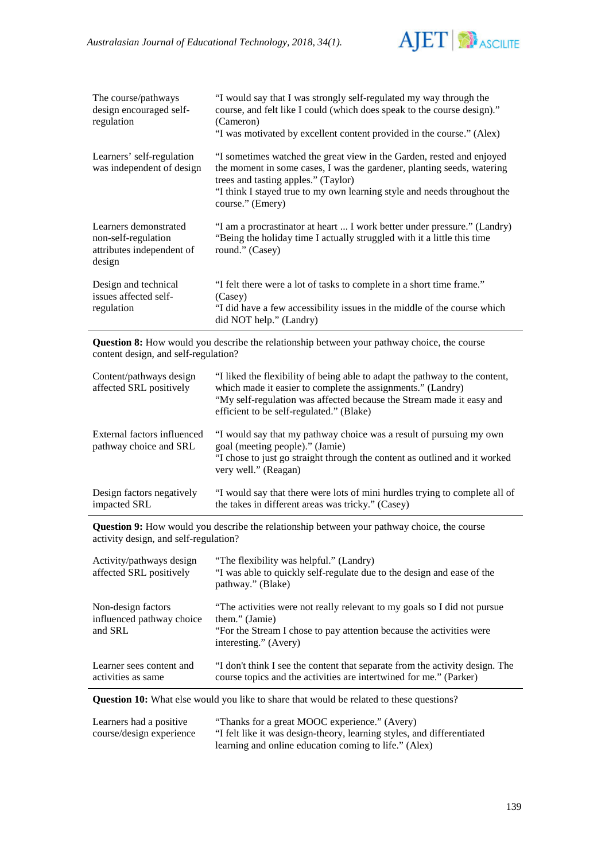

| The course/pathways<br>design encouraged self-<br>regulation                        | "I would say that I was strongly self-regulated my way through the<br>course, and felt like I could (which does speak to the course design)."<br>(Cameron)<br>"I was motivated by excellent content provided in the course." (Alex)                                                    |
|-------------------------------------------------------------------------------------|----------------------------------------------------------------------------------------------------------------------------------------------------------------------------------------------------------------------------------------------------------------------------------------|
| Learners' self-regulation<br>was independent of design                              | "I sometimes watched the great view in the Garden, rested and enjoyed<br>the moment in some cases, I was the gardener, planting seeds, watering<br>trees and tasting apples." (Taylor)<br>"I think I stayed true to my own learning style and needs throughout the<br>course." (Emery) |
| Learners demonstrated<br>non-self-regulation<br>attributes independent of<br>design | "I am a procrastinator at heart  I work better under pressure." (Landry)<br>"Being the holiday time I actually struggled with it a little this time<br>round." (Casey)                                                                                                                 |
| Design and technical<br>issues affected self-<br>regulation                         | "I felt there were a lot of tasks to complete in a short time frame."<br>(Casey)<br>"I did have a few accessibility issues in the middle of the course which<br>did NOT help." (Landry)                                                                                                |

**Question 8:** How would you describe the relationship between your pathway choice, the course content design, and self-regulation?

| Content/pathways design<br>affected SRL positively    | "I liked the flexibility of being able to adapt the pathway to the content,<br>which made it easier to complete the assignments." (Landry)<br>"My self-regulation was affected because the Stream made it easy and<br>efficient to be self-regulated." (Blake) |
|-------------------------------------------------------|----------------------------------------------------------------------------------------------------------------------------------------------------------------------------------------------------------------------------------------------------------------|
| External factors influenced<br>pathway choice and SRL | "I would say that my pathway choice was a result of pursuing my own<br>goal (meeting people)." (Jamie)<br>"I chose to just go straight through the content as outlined and it worked<br>very well." (Reagan)                                                   |
| Design factors negatively<br>impacted SRL             | "I would say that there were lots of mini hurdles trying to complete all of<br>the takes in different areas was tricky." (Casey)                                                                                                                               |

**Question 9:** How would you describe the relationship between your pathway choice, the course activity design, and self-regulation?

| Activity/pathways design<br>affected SRL positively        | "The flexibility was helpful." (Landry)<br>"I was able to quickly self-regulate due to the design and ease of the<br>pathway." (Blake)                                                      |
|------------------------------------------------------------|---------------------------------------------------------------------------------------------------------------------------------------------------------------------------------------------|
| Non-design factors<br>influenced pathway choice<br>and SRL | "The activities were not really relevant to my goals so I did not pursue<br>them." (Jamie)<br>"For the Stream I chose to pay attention because the activities were<br>interesting." (Avery) |
| Learner sees content and<br>activities as same             | "I don't think I see the content that separate from the activity design. The<br>course topics and the activities are intertwined for me." (Parker)                                          |

**Question 10:** What else would you like to share that would be related to these questions?

| Learners had a positive  | "Thanks for a great MOOC experience." (Avery)                          |
|--------------------------|------------------------------------------------------------------------|
| course/design experience | "I felt like it was design-theory, learning styles, and differentiated |
|                          | learning and online education coming to life." (Alex)                  |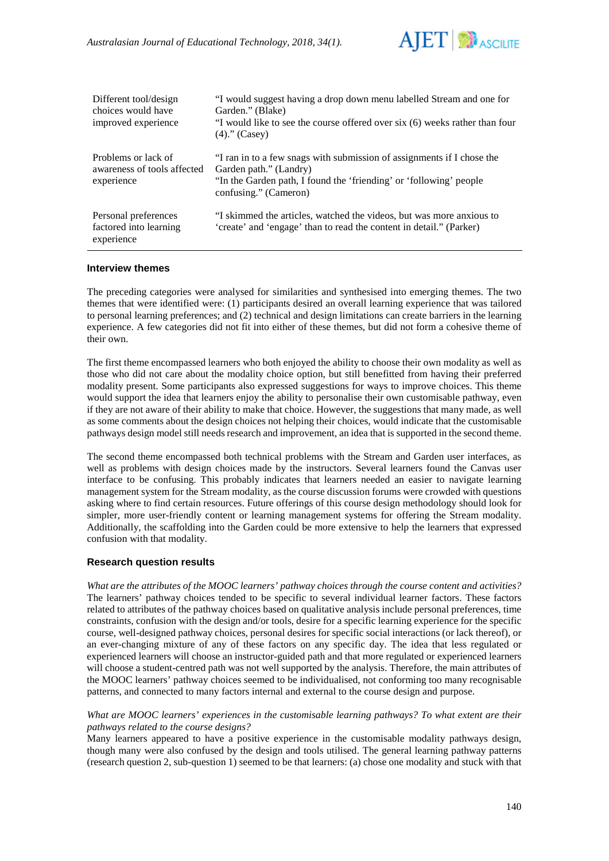

| Different tool/design<br>choices would have<br>improved experience | "I would suggest having a drop down menu labelled Stream and one for<br>Garden." (Blake)<br>"I would like to see the course offered over six (6) weeks rather than four<br>$(4)$ ." (Casey)     |
|--------------------------------------------------------------------|-------------------------------------------------------------------------------------------------------------------------------------------------------------------------------------------------|
| Problems or lack of<br>awareness of tools affected<br>experience   | "I ran in to a few snags with submission of assignments if I chose the<br>Garden path." (Landry)<br>"In the Garden path, I found the 'friending' or 'following' people<br>confusing." (Cameron) |
| Personal preferences<br>factored into learning<br>experience       | "I skimmed the articles, watched the videos, but was more anxious to<br>'create' and 'engage' than to read the content in detail." (Parker)                                                     |

#### **Interview themes**

The preceding categories were analysed for similarities and synthesised into emerging themes. The two themes that were identified were: (1) participants desired an overall learning experience that was tailored to personal learning preferences; and (2) technical and design limitations can create barriers in the learning experience. A few categories did not fit into either of these themes, but did not form a cohesive theme of their own.

The first theme encompassed learners who both enjoyed the ability to choose their own modality as well as those who did not care about the modality choice option, but still benefitted from having their preferred modality present. Some participants also expressed suggestions for ways to improve choices. This theme would support the idea that learners enjoy the ability to personalise their own customisable pathway, even if they are not aware of their ability to make that choice. However, the suggestions that many made, as well as some comments about the design choices not helping their choices, would indicate that the customisable pathways design model still needs research and improvement, an idea that is supported in the second theme.

The second theme encompassed both technical problems with the Stream and Garden user interfaces, as well as problems with design choices made by the instructors. Several learners found the Canvas user interface to be confusing. This probably indicates that learners needed an easier to navigate learning management system for the Stream modality, as the course discussion forums were crowded with questions asking where to find certain resources. Future offerings of this course design methodology should look for simpler, more user-friendly content or learning management systems for offering the Stream modality. Additionally, the scaffolding into the Garden could be more extensive to help the learners that expressed confusion with that modality.

### **Research question results**

*What are the attributes of the MOOC learners' pathway choices through the course content and activities?* The learners' pathway choices tended to be specific to several individual learner factors. These factors related to attributes of the pathway choices based on qualitative analysis include personal preferences, time constraints, confusion with the design and/or tools, desire for a specific learning experience for the specific course, well-designed pathway choices, personal desires for specific social interactions (or lack thereof), or an ever-changing mixture of any of these factors on any specific day. The idea that less regulated or experienced learners will choose an instructor-guided path and that more regulated or experienced learners will choose a student-centred path was not well supported by the analysis. Therefore, the main attributes of the MOOC learners' pathway choices seemed to be individualised, not conforming too many recognisable patterns, and connected to many factors internal and external to the course design and purpose.

#### *What are MOOC learners' experiences in the customisable learning pathways? To what extent are their pathways related to the course designs?*

Many learners appeared to have a positive experience in the customisable modality pathways design, though many were also confused by the design and tools utilised. The general learning pathway patterns (research question 2, sub-question 1) seemed to be that learners: (a) chose one modality and stuck with that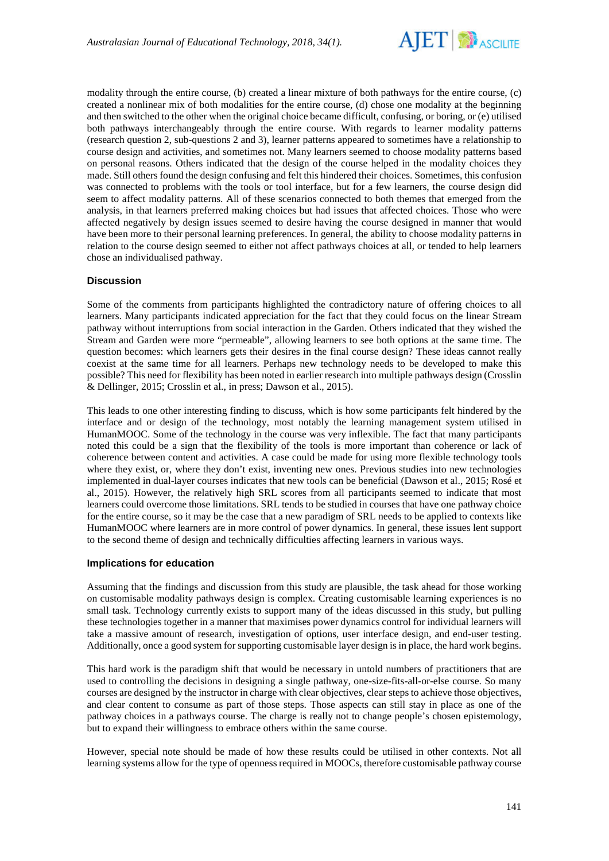

modality through the entire course, (b) created a linear mixture of both pathways for the entire course, (c) created a nonlinear mix of both modalities for the entire course, (d) chose one modality at the beginning and then switched to the other when the original choice became difficult, confusing, or boring, or (e) utilised both pathways interchangeably through the entire course. With regards to learner modality patterns (research question 2, sub-questions 2 and 3), learner patterns appeared to sometimes have a relationship to course design and activities, and sometimes not. Many learners seemed to choose modality patterns based on personal reasons. Others indicated that the design of the course helped in the modality choices they made. Still others found the design confusing and felt this hindered their choices. Sometimes, this confusion was connected to problems with the tools or tool interface, but for a few learners, the course design did seem to affect modality patterns. All of these scenarios connected to both themes that emerged from the analysis, in that learners preferred making choices but had issues that affected choices. Those who were affected negatively by design issues seemed to desire having the course designed in manner that would have been more to their personal learning preferences. In general, the ability to choose modality patterns in relation to the course design seemed to either not affect pathways choices at all, or tended to help learners chose an individualised pathway.

### **Discussion**

Some of the comments from participants highlighted the contradictory nature of offering choices to all learners. Many participants indicated appreciation for the fact that they could focus on the linear Stream pathway without interruptions from social interaction in the Garden. Others indicated that they wished the Stream and Garden were more "permeable", allowing learners to see both options at the same time. The question becomes: which learners gets their desires in the final course design? These ideas cannot really coexist at the same time for all learners. Perhaps new technology needs to be developed to make this possible? This need for flexibility has been noted in earlier research into multiple pathways design (Crosslin & Dellinger, 2015; Crosslin et al., in press; Dawson et al., 2015).

This leads to one other interesting finding to discuss, which is how some participants felt hindered by the interface and or design of the technology, most notably the learning management system utilised in HumanMOOC. Some of the technology in the course was very inflexible. The fact that many participants noted this could be a sign that the flexibility of the tools is more important than coherence or lack of coherence between content and activities. A case could be made for using more flexible technology tools where they exist, or, where they don't exist, inventing new ones. Previous studies into new technologies implemented in dual-layer courses indicates that new tools can be beneficial (Dawson et al., 2015; Rosé et al., 2015). However, the relatively high SRL scores from all participants seemed to indicate that most learners could overcome those limitations. SRL tends to be studied in courses that have one pathway choice for the entire course, so it may be the case that a new paradigm of SRL needs to be applied to contexts like HumanMOOC where learners are in more control of power dynamics. In general, these issues lent support to the second theme of design and technically difficulties affecting learners in various ways.

#### **Implications for education**

Assuming that the findings and discussion from this study are plausible, the task ahead for those working on customisable modality pathways design is complex. Creating customisable learning experiences is no small task. Technology currently exists to support many of the ideas discussed in this study, but pulling these technologies together in a manner that maximises power dynamics control for individual learners will take a massive amount of research, investigation of options, user interface design, and end-user testing. Additionally, once a good system for supporting customisable layer design is in place, the hard work begins.

This hard work is the paradigm shift that would be necessary in untold numbers of practitioners that are used to controlling the decisions in designing a single pathway, one-size-fits-all-or-else course. So many courses are designed by the instructor in charge with clear objectives, clear steps to achieve those objectives, and clear content to consume as part of those steps. Those aspects can still stay in place as one of the pathway choices in a pathways course. The charge is really not to change people's chosen epistemology, but to expand their willingness to embrace others within the same course.

However, special note should be made of how these results could be utilised in other contexts. Not all learning systems allow for the type of openness required in MOOCs, therefore customisable pathway course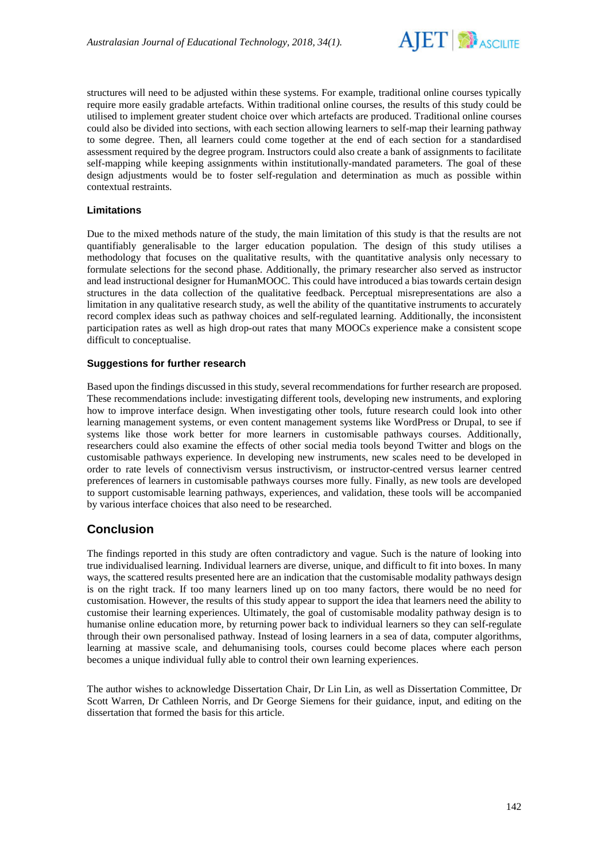

structures will need to be adjusted within these systems. For example, traditional online courses typically require more easily gradable artefacts. Within traditional online courses, the results of this study could be utilised to implement greater student choice over which artefacts are produced. Traditional online courses could also be divided into sections, with each section allowing learners to self-map their learning pathway to some degree. Then, all learners could come together at the end of each section for a standardised assessment required by the degree program. Instructors could also create a bank of assignments to facilitate self-mapping while keeping assignments within institutionally-mandated parameters. The goal of these design adjustments would be to foster self-regulation and determination as much as possible within contextual restraints.

### **Limitations**

Due to the mixed methods nature of the study, the main limitation of this study is that the results are not quantifiably generalisable to the larger education population. The design of this study utilises a methodology that focuses on the qualitative results, with the quantitative analysis only necessary to formulate selections for the second phase. Additionally, the primary researcher also served as instructor and lead instructional designer for HumanMOOC. This could have introduced a bias towards certain design structures in the data collection of the qualitative feedback. Perceptual misrepresentations are also a limitation in any qualitative research study, as well the ability of the quantitative instruments to accurately record complex ideas such as pathway choices and self-regulated learning. Additionally, the inconsistent participation rates as well as high drop-out rates that many MOOCs experience make a consistent scope difficult to conceptualise.

#### **Suggestions for further research**

Based upon the findings discussed in this study, several recommendations for further research are proposed. These recommendations include: investigating different tools, developing new instruments, and exploring how to improve interface design. When investigating other tools, future research could look into other learning management systems, or even content management systems like WordPress or Drupal, to see if systems like those work better for more learners in customisable pathways courses. Additionally, researchers could also examine the effects of other social media tools beyond Twitter and blogs on the customisable pathways experience. In developing new instruments, new scales need to be developed in order to rate levels of connectivism versus instructivism, or instructor-centred versus learner centred preferences of learners in customisable pathways courses more fully. Finally, as new tools are developed to support customisable learning pathways, experiences, and validation, these tools will be accompanied by various interface choices that also need to be researched.

# **Conclusion**

The findings reported in this study are often contradictory and vague. Such is the nature of looking into true individualised learning. Individual learners are diverse, unique, and difficult to fit into boxes. In many ways, the scattered results presented here are an indication that the customisable modality pathways design is on the right track. If too many learners lined up on too many factors, there would be no need for customisation. However, the results of this study appear to support the idea that learners need the ability to customise their learning experiences. Ultimately, the goal of customisable modality pathway design is to humanise online education more, by returning power back to individual learners so they can self-regulate through their own personalised pathway. Instead of losing learners in a sea of data, computer algorithms, learning at massive scale, and dehumanising tools, courses could become places where each person becomes a unique individual fully able to control their own learning experiences.

The author wishes to acknowledge Dissertation Chair, Dr Lin Lin, as well as Dissertation Committee, Dr Scott Warren, Dr Cathleen Norris, and Dr George Siemens for their guidance, input, and editing on the dissertation that formed the basis for this article.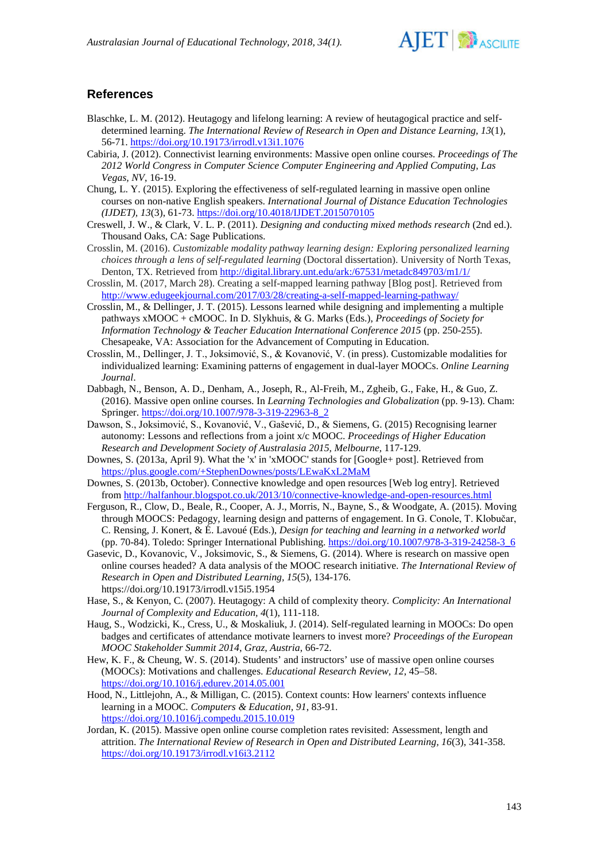

# **References**

- Blaschke, L. M. (2012). Heutagogy and lifelong learning: A review of heutagogical practice and selfdetermined learning. *The International Review of Research in Open and Distance Learning, 13*(1), 56-71. <https://doi.org/10.19173/irrodl.v13i1.1076>
- Cabiria, J. (2012). Connectivist learning environments: Massive open online courses. *Proceedings of The 2012 World Congress in Computer Science Computer Engineering and Applied Computing, Las Vegas, NV*, 16-19.
- Chung, L. Y. (2015). Exploring the effectiveness of self-regulated learning in massive open online courses on non-native English speakers. *International Journal of Distance Education Technologies (IJDET), 13*(3), 61-73. <https://doi.org/10.4018/IJDET.2015070105>
- Creswell, J. W., & Clark, V. L. P. (2011). *Designing and conducting mixed methods research* (2nd ed.). Thousand Oaks, CA: Sage Publications.
- Crosslin, M. (2016). *Customizable modality pathway learning design: Exploring personalized learning choices through a lens of self-regulated learning* (Doctoral dissertation). University of North Texas, Denton, TX. Retrieved from<http://digital.library.unt.edu/ark:/67531/metadc849703/m1/1/>
- Crosslin, M. (2017, March 28). Creating a self-mapped learning pathway [Blog post]. Retrieved from <http://www.edugeekjournal.com/2017/03/28/creating-a-self-mapped-learning-pathway/>
- Crosslin, M., & Dellinger, J. T. (2015). Lessons learned while designing and implementing a multiple pathways xMOOC + cMOOC. In D. Slykhuis, & G. Marks (Eds.), *Proceedings of Society for Information Technology & Teacher Education International Conference 2015* (pp. 250-255). Chesapeake, VA: Association for the Advancement of Computing in Education.
- Crosslin, M., Dellinger, J. T., Joksimović, S., & Kovanović, V. (in press). Customizable modalities for individualized learning: Examining patterns of engagement in dual-layer MOOCs. *Online Learning Journal*.
- Dabbagh, N., Benson, A. D., Denham, A., Joseph, R., Al-Freih, M., Zgheib, G., Fake, H., & Guo, Z. (2016). Massive open online courses. In *Learning Technologies and Globalization* (pp. 9-13). Cham: Springer. [https://doi.org/10.1007/978-3-319-22963-8\\_2](https://doi.org/10.1007/978-3-319-22963-8_2)
- Dawson, S., Joksimović, S., Kovanović, V., Gašević, D., & Siemens, G. (2015) Recognising learner autonomy: Lessons and reflections from a joint x/c MOOC. *Proceedings of Higher Education Research and Development Society of Australasia 2015, Melbourne,* 117-129.
- Downes, S. (2013a, April 9). What the 'x' in 'xMOOC' stands for [Google+ post]. Retrieved from <https://plus.google.com/+StephenDownes/posts/LEwaKxL2MaM>
- Downes, S. (2013b, October). Connective knowledge and open resources [Web log entry]. Retrieved from<http://halfanhour.blogspot.co.uk/2013/10/connective-knowledge-and-open-resources.html>
- Ferguson, R., Clow, D., Beale, R., Cooper, A. J., Morris, N., Bayne, S., & Woodgate, A. (2015). Moving through MOOCS: Pedagogy, learning design and patterns of engagement. In G. Conole, T. Klobučar, C. Rensing, J. Konert, & É. Lavoué (Eds.), *Design for teaching and learning in a networked world* (pp. 70-84). Toledo: Springer International Publishing. [https://doi.org/10.1007/978-3-319-24258-3\\_6](https://doi.org/10.1007/978-3-319-24258-3_6)
- Gasevic, D., Kovanovic, V., Joksimovic, S., & Siemens, G. (2014). Where is research on massive open online courses headed? A data analysis of the MOOC research initiative. *The International Review of Research in Open and Distributed Learning, 15*(5), 134-176. https://doi.org/10.19173/irrodl.v15i5.1954
- Hase, S., & Kenyon, C. (2007). Heutagogy: A child of complexity theory*. Complicity: An International Journal of Complexity and Education, 4*(1), 111-118.
- Haug, S., Wodzicki, K., Cress, U., & Moskaliuk, J. (2014). Self-regulated learning in MOOCs: Do open badges and certificates of attendance motivate learners to invest more? *Proceedings of the European MOOC Stakeholder Summit 2014*, *Graz, Austria*, 66-72.
- Hew, K. F., & Cheung, W. S. (2014). Students' and instructors' use of massive open online courses (MOOCs): Motivations and challenges. *Educational Research Review, 12*, 45–58. <https://doi.org/10.1016/j.edurev.2014.05.001>
- Hood, N., Littlejohn, A., & Milligan, C. (2015). Context counts: How learners' contexts influence learning in a MOOC. *Computers & Education, 91*, 83-91. <https://doi.org/10.1016/j.compedu.2015.10.019>
- Jordan, K. (2015). Massive open online course completion rates revisited: Assessment, length and attrition. *The International Review of Research in Open and Distributed Learning, 16*(3), 341-358. <https://doi.org/10.19173/irrodl.v16i3.2112>